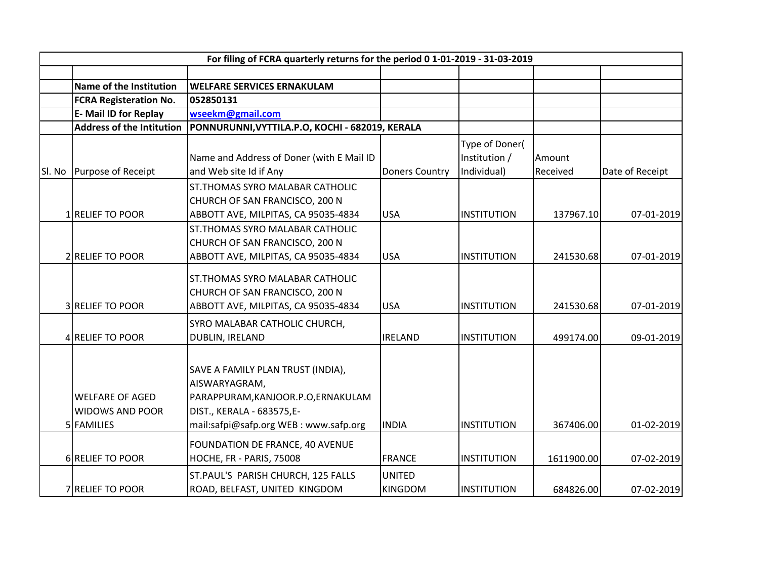|        | For filing of FCRA quarterly returns for the period 0 1-01-2019 - 31-03-2019 |                                                                                                                                                                |                                 |                                                |                    |                 |
|--------|------------------------------------------------------------------------------|----------------------------------------------------------------------------------------------------------------------------------------------------------------|---------------------------------|------------------------------------------------|--------------------|-----------------|
|        |                                                                              |                                                                                                                                                                |                                 |                                                |                    |                 |
|        | <b>Name of the Institution</b>                                               | <b>WELFARE SERVICES ERNAKULAM</b>                                                                                                                              |                                 |                                                |                    |                 |
|        | <b>FCRA Registeration No.</b>                                                | 052850131                                                                                                                                                      |                                 |                                                |                    |                 |
|        | <b>E-Mail ID for Replay</b>                                                  | wseekm@gmail.com                                                                                                                                               |                                 |                                                |                    |                 |
|        | <b>Address of the Intitution</b>                                             | PONNURUNNI, VYTTILA.P.O, KOCHI - 682019, KERALA                                                                                                                |                                 |                                                |                    |                 |
| Sl. No | Purpose of Receipt                                                           | Name and Address of Doner (with E Mail ID<br>and Web site Id if Any                                                                                            | <b>Doners Country</b>           | Type of Doner(<br>Institution /<br>Individual) | Amount<br>Received | Date of Receipt |
|        | 1 RELIEF TO POOR                                                             | ST. THOMAS SYRO MALABAR CATHOLIC<br>CHURCH OF SAN FRANCISCO, 200 N<br>ABBOTT AVE, MILPITAS, CA 95035-4834                                                      | <b>USA</b>                      | <b>INSTITUTION</b>                             | 137967.10          | 07-01-2019      |
|        | 2 RELIEF TO POOR                                                             | ST. THOMAS SYRO MALABAR CATHOLIC<br>CHURCH OF SAN FRANCISCO, 200 N<br>ABBOTT AVE, MILPITAS, CA 95035-4834                                                      | <b>USA</b>                      | <b>INSTITUTION</b>                             | 241530.68          | 07-01-2019      |
|        | <b>3 RELIEF TO POOR</b>                                                      | <b>ST. THOMAS SYRO MALABAR CATHOLIC</b><br>CHURCH OF SAN FRANCISCO, 200 N<br>ABBOTT AVE, MILPITAS, CA 95035-4834                                               | <b>USA</b>                      | <b>INSTITUTION</b>                             | 241530.68          | 07-01-2019      |
|        | 4 RELIEF TO POOR                                                             | SYRO MALABAR CATHOLIC CHURCH,<br>DUBLIN, IRELAND                                                                                                               | <b>IRELAND</b>                  | <b>INSTITUTION</b>                             | 499174.00          | 09-01-2019      |
|        | <b>WELFARE OF AGED</b><br><b>WIDOWS AND POOR</b><br>5 FAMILIES               | SAVE A FAMILY PLAN TRUST (INDIA),<br>AISWARYAGRAM,<br>PARAPPURAM, KANJOOR.P.O, ERNAKULAM<br>DIST., KERALA - 683575,E-<br>mail:safpi@safp.org WEB: www.safp.org | <b>INDIA</b>                    | <b>INSTITUTION</b>                             | 367406.00          | 01-02-2019      |
|        | <b>6 RELIEF TO POOR</b>                                                      | FOUNDATION DE FRANCE, 40 AVENUE<br>HOCHE, FR - PARIS, 75008                                                                                                    | <b>FRANCE</b>                   | <b>INSTITUTION</b>                             | 1611900.00         | 07-02-2019      |
|        | <b>7 RELIEF TO POOR</b>                                                      | ST.PAUL'S PARISH CHURCH, 125 FALLS<br>ROAD, BELFAST, UNITED KINGDOM                                                                                            | <b>UNITED</b><br><b>KINGDOM</b> | <b>INSTITUTION</b>                             | 684826.00          | 07-02-2019      |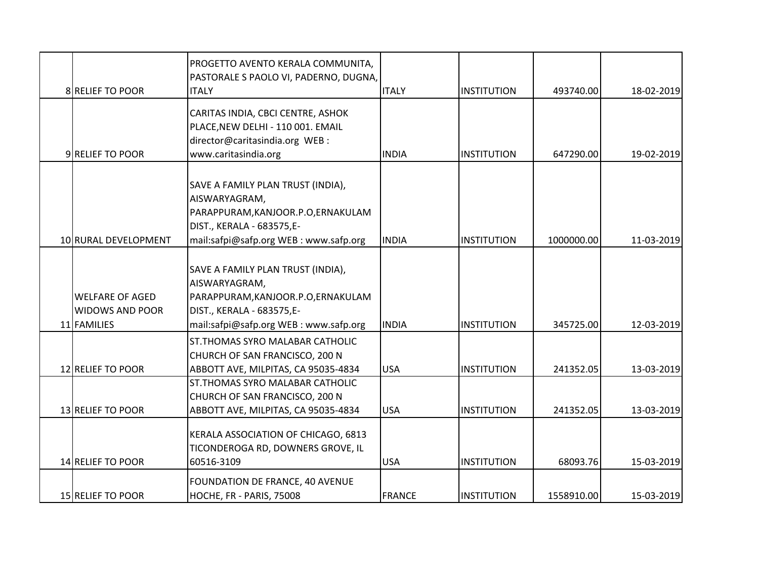|                                                                 | PROGETTO AVENTO KERALA COMMUNITA,<br>PASTORALE S PAOLO VI, PADERNO, DUGNA,                                                                                     |               |                    |            |            |
|-----------------------------------------------------------------|----------------------------------------------------------------------------------------------------------------------------------------------------------------|---------------|--------------------|------------|------------|
| 8 RELIEF TO POOR                                                | <b>ITALY</b>                                                                                                                                                   | <b>ITALY</b>  | <b>INSTITUTION</b> | 493740.00  | 18-02-2019 |
| 9 RELIEF TO POOR                                                | CARITAS INDIA, CBCI CENTRE, ASHOK<br>PLACE, NEW DELHI - 110 001. EMAIL<br>director@caritasindia.org WEB :<br>www.caritasindia.org                              | <b>INDIA</b>  | <b>INSTITUTION</b> | 647290.00  | 19-02-2019 |
|                                                                 | SAVE A FAMILY PLAN TRUST (INDIA),<br>AISWARYAGRAM,<br>PARAPPURAM, KANJOOR.P.O, ERNAKULAM<br>DIST., KERALA - 683575,E-                                          |               |                    |            |            |
| 10 RURAL DEVELOPMENT                                            | mail:safpi@safp.org WEB: www.safp.org                                                                                                                          | <b>INDIA</b>  | <b>INSTITUTION</b> | 1000000.00 | 11-03-2019 |
| <b>WELFARE OF AGED</b><br><b>WIDOWS AND POOR</b><br>11 FAMILIES | SAVE A FAMILY PLAN TRUST (INDIA),<br>AISWARYAGRAM,<br>PARAPPURAM, KANJOOR.P.O, ERNAKULAM<br>DIST., KERALA - 683575,E-<br>mail:safpi@safp.org WEB: www.safp.org | <b>INDIA</b>  | <b>INSTITUTION</b> | 345725.00  | 12-03-2019 |
| 12 RELIEF TO POOR                                               | ST. THOMAS SYRO MALABAR CATHOLIC<br>CHURCH OF SAN FRANCISCO, 200 N<br>ABBOTT AVE, MILPITAS, CA 95035-4834                                                      | <b>USA</b>    | <b>INSTITUTION</b> | 241352.05  | 13-03-2019 |
| 13 RELIEF TO POOR                                               | ST. THOMAS SYRO MALABAR CATHOLIC<br>CHURCH OF SAN FRANCISCO, 200 N<br>ABBOTT AVE, MILPITAS, CA 95035-4834                                                      | <b>USA</b>    | <b>INSTITUTION</b> | 241352.05  | 13-03-2019 |
| 14 RELIEF TO POOR                                               | KERALA ASSOCIATION OF CHICAGO, 6813<br>TICONDEROGA RD, DOWNERS GROVE, IL<br>60516-3109                                                                         | <b>USA</b>    | <b>INSTITUTION</b> | 68093.76   | 15-03-2019 |
| 15 RELIEF TO POOR                                               | FOUNDATION DE FRANCE, 40 AVENUE<br>HOCHE, FR - PARIS, 75008                                                                                                    | <b>FRANCE</b> | <b>INSTITUTION</b> | 1558910.00 | 15-03-2019 |